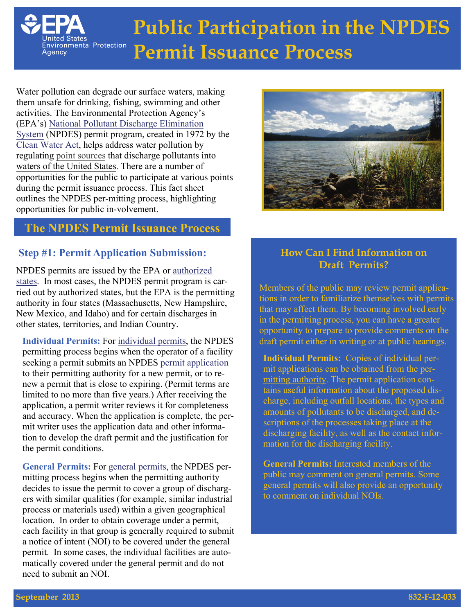

# **Public Participation in the NPDES Permit Issuance Process**

Water pollution can degrade our surface waters, making them unsafe for drinking, fishing, swimming and other activities. The Environmental Protection Agency's [\(EPA's\) National Pollutant Discharge Elimination](https://www.epa.gov/npdes) [System](https://www.epa.gov/npdes) (NPDES) permit program, created in 1972 by the [Clean W](https://www.epa.gov/laws-regulations/summary-clean-water-act)[ater Act](http://cfpub.epa.gov/npdes/cwa.cfm?program_id=0)[,](https://www.epa.gov/laws-regulations/summary-clean-water-act) helps address water pollution by regulating [point sources](https://www.epa.gov/npdes/npdes-permit-basics#pane-2) that discharge pollutants into [waters of the United States.](https://www.epa.gov/npdes/npdes-permit-basics#pane-3) There are a number of opportunities for the public to participate at various points during the permit issuance process. This fact sheet outlines the NPDES per-mitting process, highlighting opportunities for public in-volvement.

# **The NPDES Permit Issuance Process**

## **Step #1: Permit Application Submission:**

NPDES permits are issued by the EPA or [authorized](http://cfpub.epa.gov/npdes/statestats.cfm)  [states](http://cfpub.epa.gov/npdes/statestats.cfm). In most cases, the NPDES permit program is carried out by authorized states, but the EPA is the permitting authority in four states (Massachusetts, New Hampshire, New Mexico, and Idaho) and for certain discharges in other states, territories, and Indian Country.

**Individual Permits:** For [individual permits,](https://www.epa.gov/npdes/about-npdes) the NPDES permitting process begins when the operator of a facility seeking a permit submits an NPDES [permit application](https://www.epa.gov/npdes/npdes-applications-and-forms)  to their permitting authority for a new permit, or to renew a permit that is close to expiring. (Permit terms are limited to no more than five years.) After receiving the application, a permit writer reviews it for completeness and accuracy. When the application is complete, the permit writer uses the application data and other information to develop the draft permit and the justification for the permit conditions.

**General Permits:** For [general permits](https://www.epa.gov/npdes/about-npdes), the NPDES permitting process begins when the permitting authority decides to issue the permit to cover a group of dischargers with similar qualities (for example, similar industrial process or materials used) within a given geographical location. In order to obtain coverage under a permit, each facility in that group is generally required to submit a notice of intent (NOI) to be covered under the general permit. In some cases, the individual facilities are automatically covered under the general permit and do not need to submit an NOI.



## **How Can I Find Information on Draft Permits?**

Members of the public may review permit applications in order to familiarize themselves with permits that may affect them. By becoming involved early in the permitting process, you can have a greater opportunity to prepare to provide comments on the draft permit either in writing or at public hearings.

**Individual Permits:** Copies of individual permit applications can be obtained from the [per](http://cfpub1.epa.gov/npdes/contacts.cfm?program_id=0&type=NPDES)[mitting authority.](http://cfpub1.epa.gov/npdes/contacts.cfm?program_id=0&type=NPDES) The permit application contains useful information about the proposed discharge, including outfall locations, the types and amounts of pollutants to be discharged, and descriptions of the processes taking place at the discharging facility, as well as the contact information for the discharging facility.

**General Permits:** Interested members of the public may comment on general permits. Some general permits will also provide an opportunity to comment on individual NOIs.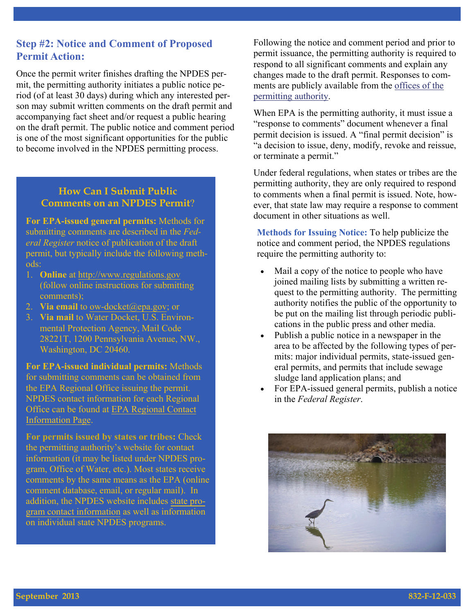## **Step #2: Notice and Comment of Proposed Permit Action:**

Once the permit writer finishes drafting the NPDES permit, the permitting authority initiates a public notice period (of at least 30 days) during which any interested person may submit written comments on the draft permit and accompanying fact sheet and/or request a public hearing on the draft permit. The public notice and comment period is one of the most significant opportunities for the public to become involved in the NPDES permitting process.

#### **How Can I Submit Public Comments on an NPDES Permit**?

**For EPA-issued general permits:** Methods for submitting comments are described in the *Federal Register* notice of publication of the draft permit, but typically include the following methods:

- 1. **Online** at http://www.regulations.gov (follow online instructions for submitting comments);
- 2. **Via email** to ow-docket@epa.gov; or
- 3. **Via mail** to Water Docket, U.S. Environmental Protection Agency, Mail Code 28221T, 1200 Pennsylvania Avenue, NW., Washington, DC 20460.

**For EPA-issued individual permits:** Methods for submitting comments can be obtained from the EPA Regional Office issuing the permit. NPDES contact information for each Regional Office can be found at [EPA Regional Contact](http://cfpub.epa.gov/npdes/contacts.cfm?type=allregion)  [Information Page](http://cfpub.epa.gov/npdes/contacts.cfm?type=allregion).

**For permits issued by states or tribes:** Check the permitting authority's website for contact information (it may be listed under NPDES program, Office of Water, etc.). Most states receive comments by the same means as the EPA (online comment database, email, or regular mail). In addition, the NPDES website includes [state pro](http://cfpub.epa.gov/npdes/contacts.cfm?program_id=0&type=allstate)gram [contact information](http://cfpub.epa.gov/npdes/contacts.cfm?program_id=0&type=allstate) as well as information on individual state NPDES programs.

Following the notice and comment period and prior to permit issuance, the permitting authority is required to respond to all significant comments and explain any changes made to the draft permit. Responses to comments are publicly available from the [offices of the](http://cfpub1.epa.gov/npdes/contacts.cfm?program_id=0&type=NPDES)  [permitting authority.](http://cfpub1.epa.gov/npdes/contacts.cfm?program_id=0&type=NPDES)

When EPA is the permitting authority, it must issue a "response to comments" document whenever a final permit decision is issued. A "final permit decision" is "a decision to issue, deny, modify, revoke and reissue, or terminate a permit."

Under federal regulations, when states or tribes are the permitting authority, they are only required to respond to comments when a final permit is issued. Note, however, that state law may require a response to comment document in other situations as well.

**Methods for Issuing Notice:** To help publicize the notice and comment period, the NPDES regulations require the permitting authority to:

- Mail a copy of the notice to people who have joined mailing lists by submitting a written request to the permitting authority. The permitting authority notifies the public of the opportunity to be put on the mailing list through periodic publications in the public press and other media.
- Publish a public notice in a newspaper in the area to be affected by the following types of permits: major individual permits, state-issued general permits, and permits that include sewage sludge land application plans; and
- For EPA-issued general permits, publish a notice in the *Federal Register*.

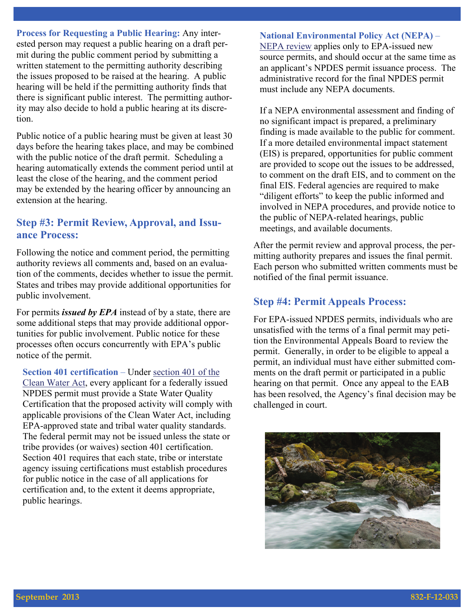**Process for Requesting a Public Hearing:** Any interested person may request a public hearing on a draft permit during the public comment period by submitting a written statement to the permitting authority describing the issues proposed to be raised at the hearing. A public hearing will be held if the permitting authority finds that there is significant public interest. The permitting authority may also decide to hold a public hearing at its discretion.

Public notice of a public hearing must be given at least 30 days before the hearing takes place, and may be combined with the public notice of the draft permit. Scheduling a hearing automatically extends the comment period until at least the close of the hearing, and the comment period may be extended by the hearing officer by announcing an extension at the hearing.

#### **Step #3: Permit Review, Approval, and Issuance Process:**

Following the notice and comment period, the permitting authority reviews all comments and, based on an evaluation of the comments, decides whether to issue the permit. States and tribes may provide additional opportunities for public involvement.

For permits *issued by EPA* instead of by a state, there are some additional steps that may provide additional opportunities for public involvement. Public notice for these processes often occurs concurrently with EPA's public notice of the permit.

**Section 401 certification** – Under [section 401 of the](http://water.epa.gov/lawsregs/guidance/cwa/waterquality_index.cfm)  [Clean Water Act](http://water.epa.gov/lawsregs/guidance/cwa/waterquality_index.cfm), every applicant for a federally issued NPDES permit must provide a State Water Quality Certification that the proposed activity will comply with applicable provisions of the Clean Water Act, including EPA-approved state and tribal water quality standards. The federal permit may not be issued unless the state or tribe provides (or waives) section 401 certification. Section 401 requires that each state, tribe or interstate agency issuing certifications must establish procedures for public notice in the case of all applications for certification and, to the extent it deems appropriate, public hearings.

#### **National Environmental Policy Act (NEPA)** –

[NEPA review](https://www.epa.gov/nepa) applies only to EPA-issued new source permits, and should occur at the same time as an applicant's NPDES permit issuance process. The administrative record for the final NPDES permit must include any NEPA documents.

If a NEPA environmental assessment and finding of no significant impact is prepared, a preliminary finding is made available to the public for comment. If a more detailed environmental impact statement (EIS) is prepared, opportunities for public comment are provided to scope out the issues to be addressed, to comment on the draft EIS, and to comment on the final EIS. Federal agencies are required to make "diligent efforts" to keep the public informed and involved in NEPA procedures, and provide notice to the public of NEPA-related hearings, public meetings, and available documents.

After the permit review and approval process, the permitting authority prepares and issues the final permit. Each person who submitted written comments must be notified of the final permit issuance.

#### **Step #4: Permit Appeals Process:**

For EPA-issued NPDES permits, individuals who are unsatisfied with the terms of a final permit may petition the Environmental Appeals Board to review the permit. Generally, in order to be eligible to appeal a permit, an individual must have either submitted comments on the draft permit or participated in a public hearing on that permit. Once any appeal to the EAB has been resolved, the Agency's final decision may be challenged in court.